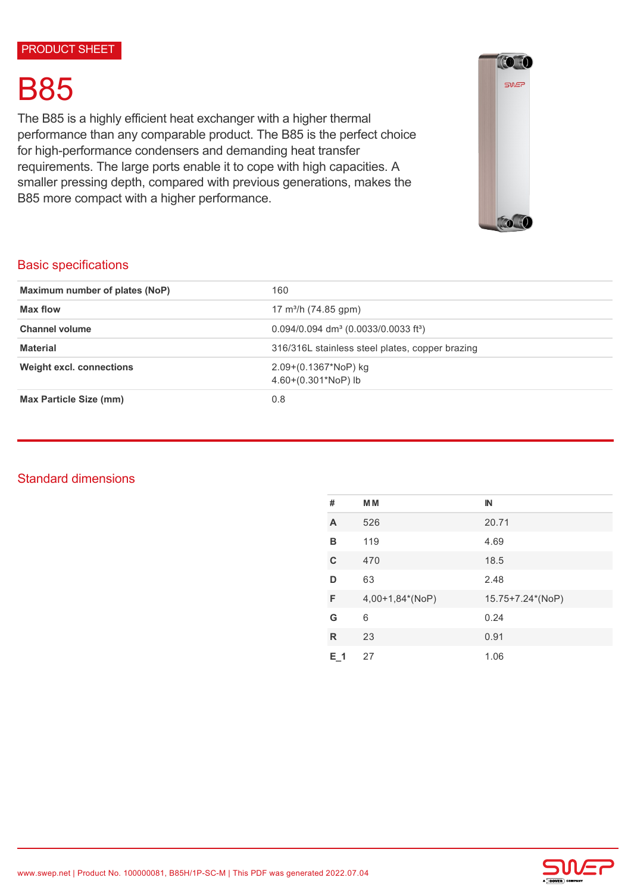# B85

The B85 is a highly efficient heat exchanger with a higher thermal performance than any comparable product. The B85 is the perfect choice for high-performance condensers and demanding heat transfer requirements. The large ports enable it to cope with high capacities. A smaller pressing depth, compared with previous generations, makes the B85 more compact with a higher performance.



# Basic specifications

| Maximum number of plates (NoP)  | 160                                                            |  |
|---------------------------------|----------------------------------------------------------------|--|
| Max flow                        | 17 m <sup>3</sup> /h (74.85 gpm)                               |  |
| <b>Channel volume</b>           | $0.094/0.094$ dm <sup>3</sup> (0.0033/0.0033 ft <sup>3</sup> ) |  |
| <b>Material</b>                 | 316/316L stainless steel plates, copper brazing                |  |
| <b>Weight excl. connections</b> | $2.09+(0.1367*NoP)$ kg<br>$4.60+(0.301*NoP)$ lb                |  |
| Max Particle Size (mm)          | 0.8                                                            |  |

# Standard dimensions

| #       | <b>MM</b>       | $\mathbb{N}$     |
|---------|-----------------|------------------|
| A       | 526             | 20.71            |
| в       | 119             | 4.69             |
| C       | 470             | 18.5             |
| D       | 63              | 2.48             |
| F       | 4,00+1,84*(NoP) | 15.75+7.24*(NoP) |
| G       | 6               | 0.24             |
| R       | 23              | 0.91             |
| $E_1$ 1 | 27              | 1.06             |